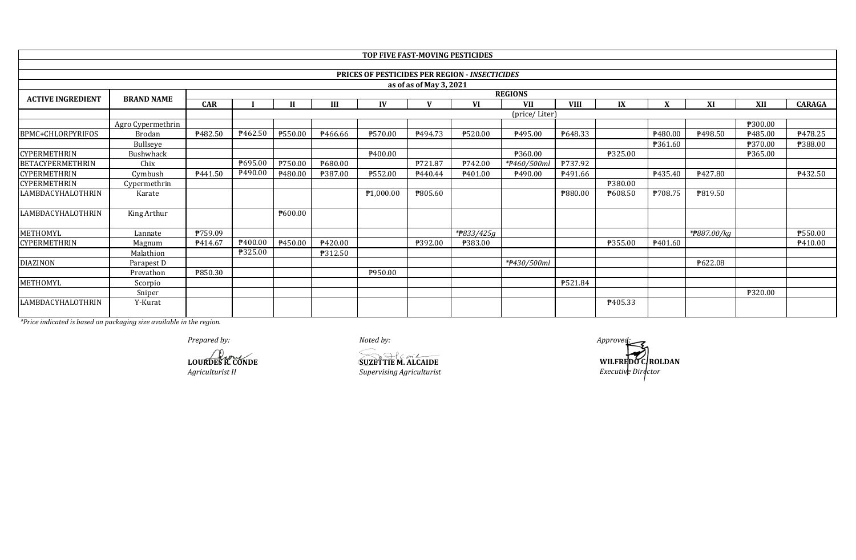|                          |                   |            |                     |               |         |                                                       |                         | TOP FIVE FAST-MOVING PESTICIDES |                |                |         |                     |                |         |                |
|--------------------------|-------------------|------------|---------------------|---------------|---------|-------------------------------------------------------|-------------------------|---------------------------------|----------------|----------------|---------|---------------------|----------------|---------|----------------|
|                          |                   |            |                     |               |         |                                                       |                         |                                 |                |                |         |                     |                |         |                |
|                          |                   |            |                     |               |         | <b>PRICES OF PESTICIDES PER REGION - INSECTICIDES</b> |                         |                                 |                |                |         |                     |                |         |                |
|                          |                   |            |                     |               |         |                                                       | as of as of May 3, 2021 |                                 |                |                |         |                     |                |         |                |
|                          | <b>BRAND NAME</b> |            |                     |               |         |                                                       |                         |                                 | <b>REGIONS</b> |                |         |                     |                |         |                |
| <b>ACTIVE INGREDIENT</b> |                   | <b>CAR</b> |                     | $\mathbf{H}$  | Ш       | IV                                                    |                         | VI                              | <b>VII</b>     | <b>VIII</b>    | IX      | X                   | XI             | XII     | <b>CARAGA</b>  |
|                          |                   |            |                     | (price/Liter) |         |                                                       |                         |                                 |                |                |         |                     |                |         |                |
|                          | Agro Cypermethrin |            |                     |               |         |                                                       |                         |                                 |                |                |         |                     |                | ₱300.00 |                |
| BPMC+CHLORPYRIFOS        | <b>Brodan</b>     | P482.50    | P462.50             | P550.00       | P466.66 | P570.00                                               | P494.73                 | P520.00                         | P495.00        | P648.33        |         | P <sub>480.00</sub> | <u>ቅ498.50</u> | P485.00 | P478.25        |
|                          | Bullseye          |            |                     |               |         |                                                       |                         |                                 |                |                |         | P361.60             |                | ₱370.00 | <b>P388.00</b> |
| <b>CYPERMETHRIN</b>      | Bushwhack         |            |                     |               |         | P400.00                                               |                         |                                 | ₱360.00        |                | ₱325.00 |                     |                | ₱365.00 |                |
| <b>BETACYPERMETHRIN</b>  | Chix              |            | ₱695.00             | P750.00       | P680.00 |                                                       | P721.87                 | P742.00                         | *#460/500ml    | <b>P737.92</b> |         |                     |                |         |                |
| <b>CYPERMETHRIN</b>      | Cymbush           | P441.50    | P <sub>490.00</sub> | P480.00       | ₱387.00 | ₱552.00                                               | P440.44                 | P <sub>401.00</sub>             | P490.00        | P491.66        |         | P435.40             | P427.80        |         | P432.50        |
| <b>CYPERMETHRIN</b>      | Cypermethrin      |            |                     |               |         |                                                       |                         |                                 |                |                | ₱380.00 |                     |                |         |                |
| LAMBDACYHALOTHRIN        | Karate            |            |                     |               |         | P <sub>1</sub> ,000.00                                | <b>P805.60</b>          |                                 |                | ₱880.00        | P608.50 | ₱708.75             | P819.50        |         |                |
| LAMBDACYHALOTHRIN        | King Arthur       |            |                     | P600.00       |         |                                                       |                         |                                 |                |                |         |                     |                |         |                |
| METHOMYL                 | Lannate           | P759.09    |                     |               |         |                                                       |                         | *#833/425g                      |                |                |         |                     | *#887.00/kg    |         | P550.00        |
| <b>CYPERMETHRIN</b>      | Magnum            | P414.67    | P <sub>400.00</sub> | P450.00       | P420.00 |                                                       | P392.00                 | ₱383.00                         |                |                | ₱355.00 | P <sub>401.60</sub> |                |         | P410.00        |
|                          | Malathion         |            | ₱325.00             |               | P312.50 |                                                       |                         |                                 |                |                |         |                     |                |         |                |
| <b>DIAZINON</b>          | Parapest D        |            |                     |               |         |                                                       |                         |                                 | *#430/500ml    |                |         |                     | P622.08        |         |                |
|                          | Prevathon         | P850.30    |                     |               |         | P950.00                                               |                         |                                 |                |                |         |                     |                |         |                |
| METHOMYL                 | Scorpio           |            |                     |               |         |                                                       |                         |                                 |                | <b>P521.84</b> |         |                     |                |         |                |
|                          | Sniper            |            |                     |               |         |                                                       |                         |                                 |                |                |         |                     |                | ₱320.00 |                |
| <b>LAMBDACYHALOTHRIN</b> | Y-Kurat           |            |                     |               |         |                                                       |                         |                                 |                |                | P405.33 |                     |                |         |                |

*Prepared by: Noted by: Approved:*

**LOURDES R. CONDE**<br> *Agriculturist II*<br> *Supervising Agriculturist Agriculturist II Supervising Agriculturist*

**WILFREDO C. ROLDAN** *Executive Director*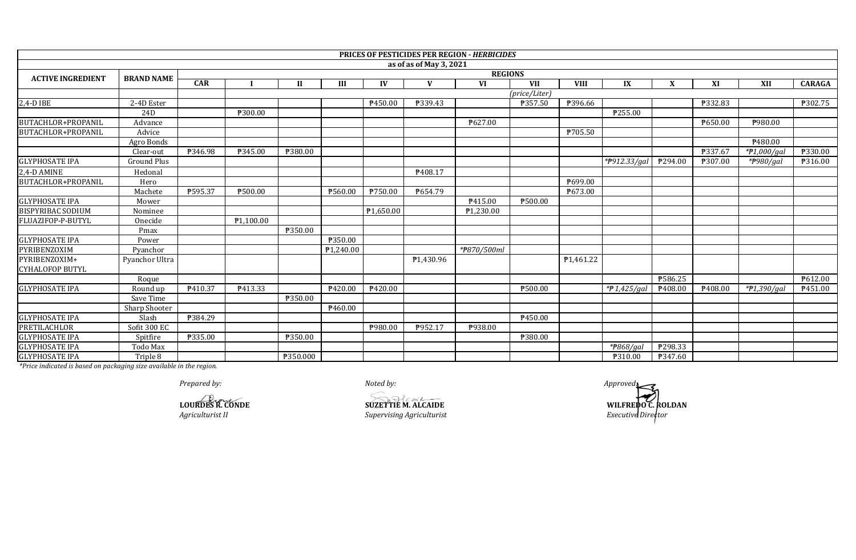| <b>PRICES OF PESTICIDES PER REGION - HERBICIDES</b><br>as of as of May 3, 2021<br><b>REGIONS</b><br><b>ACTIVE INGREDIENT</b><br><b>BRAND NAME</b><br>CAR<br>IV<br>$\mathbf{V}$<br><b>VI</b><br><b>VII</b><br><b>VIII</b><br>IX<br>X<br>XI<br>XII<br><b>CARAGA</b><br>III<br>$\mathbf{H}$<br>(price/Liter)<br>$2,4-D$ IBE<br><b>P396.66</b><br>₱302.75<br>2-4D Ester<br>₹450.00<br>₱339.43<br>₱357.50<br>₱332.83<br>P255.00<br>₱300.00<br>24D<br><b>P627.00</b><br>P650.00<br>₱980.00<br>Advance<br>₱705.50<br>Advice<br>Agro Bonds<br>P <sub>480.00</sub><br>₱380.00<br>₱337.67<br>₹346.98<br>₱345.00<br>* $P1,000/gal$<br><b>P330.00</b><br>Clear-out<br><b>Ground Plus</b><br>*P912.33/gal<br>₱294.00<br>₱307.00<br>*#980/gal<br><b>P316.00</b><br>2,4-D AMINE<br>P408.17<br>Hedonal<br>₱699.00<br>Hero<br>₱595.37<br>₱500.00<br>₱750.00<br>₹654.79<br>P673.00<br>Machete<br>₱560.00<br><b>GLYPHOSATE IPA</b><br>₹500.00<br>P415.00<br>Mower<br><b>BISPYRIBAC SODIUM</b><br>$\overline{P1,650.00}$<br>P1,230.00<br>Nominee<br>$\overline{P1,100.00}$<br>Onecide<br>₹350.00<br>Pmax<br>₱350.00<br>Power<br>*#870/500ml<br>P <sub>1,240.00</sub><br>Pyanchor<br>₱1,430.96<br>P <sub>1</sub> ,461.22<br>Pyanchor Ultra<br>₱586.25<br>₱612.00<br>Roque<br><b>GLYPHOSATE IPA</b><br>P413.33<br>P420.00<br>₱500.00<br>*P 1,425/gal<br>P410.37<br>P420.00<br>$*P1,390/gal$<br>P408.00<br>P408.00<br>P451.00<br>Round up<br>₱350.00<br>Save Time<br>₱460.00<br>Sharp Shooter<br><b>GLYPHOSATE IPA</b><br>₱384.29<br>₱450.00<br>Slash<br><b>PRETILACHLOR</b><br>Sofit 300 EC<br>P980.00<br>P952.17<br>P938.00<br>₱335.00<br>₱350.00<br><b>\\$380.00</b><br>Spitfire<br>$*P868/aal$<br>₹298.33<br>Todo Max<br><b>GLYPHOSATE IPA</b><br>₱350.000<br>Triple 8<br>₱347.60<br>₱310.00<br>* Dudon in dieseted is keerd en nedersing sine voorlabbele in the mesical |                        |  |  |  |  |  |  |  |  |  |  |  |  |  |  |  |
|--------------------------------------------------------------------------------------------------------------------------------------------------------------------------------------------------------------------------------------------------------------------------------------------------------------------------------------------------------------------------------------------------------------------------------------------------------------------------------------------------------------------------------------------------------------------------------------------------------------------------------------------------------------------------------------------------------------------------------------------------------------------------------------------------------------------------------------------------------------------------------------------------------------------------------------------------------------------------------------------------------------------------------------------------------------------------------------------------------------------------------------------------------------------------------------------------------------------------------------------------------------------------------------------------------------------------------------------------------------------------------------------------------------------------------------------------------------------------------------------------------------------------------------------------------------------------------------------------------------------------------------------------------------------------------------------------------------------------------------------------------------------------------------------------------------------------------------------------------|------------------------|--|--|--|--|--|--|--|--|--|--|--|--|--|--|--|
|                                                                                                                                                                                                                                                                                                                                                                                                                                                                                                                                                                                                                                                                                                                                                                                                                                                                                                                                                                                                                                                                                                                                                                                                                                                                                                                                                                                                                                                                                                                                                                                                                                                                                                                                                                                                                                                        |                        |  |  |  |  |  |  |  |  |  |  |  |  |  |  |  |
|                                                                                                                                                                                                                                                                                                                                                                                                                                                                                                                                                                                                                                                                                                                                                                                                                                                                                                                                                                                                                                                                                                                                                                                                                                                                                                                                                                                                                                                                                                                                                                                                                                                                                                                                                                                                                                                        |                        |  |  |  |  |  |  |  |  |  |  |  |  |  |  |  |
|                                                                                                                                                                                                                                                                                                                                                                                                                                                                                                                                                                                                                                                                                                                                                                                                                                                                                                                                                                                                                                                                                                                                                                                                                                                                                                                                                                                                                                                                                                                                                                                                                                                                                                                                                                                                                                                        |                        |  |  |  |  |  |  |  |  |  |  |  |  |  |  |  |
|                                                                                                                                                                                                                                                                                                                                                                                                                                                                                                                                                                                                                                                                                                                                                                                                                                                                                                                                                                                                                                                                                                                                                                                                                                                                                                                                                                                                                                                                                                                                                                                                                                                                                                                                                                                                                                                        |                        |  |  |  |  |  |  |  |  |  |  |  |  |  |  |  |
|                                                                                                                                                                                                                                                                                                                                                                                                                                                                                                                                                                                                                                                                                                                                                                                                                                                                                                                                                                                                                                                                                                                                                                                                                                                                                                                                                                                                                                                                                                                                                                                                                                                                                                                                                                                                                                                        |                        |  |  |  |  |  |  |  |  |  |  |  |  |  |  |  |
|                                                                                                                                                                                                                                                                                                                                                                                                                                                                                                                                                                                                                                                                                                                                                                                                                                                                                                                                                                                                                                                                                                                                                                                                                                                                                                                                                                                                                                                                                                                                                                                                                                                                                                                                                                                                                                                        |                        |  |  |  |  |  |  |  |  |  |  |  |  |  |  |  |
|                                                                                                                                                                                                                                                                                                                                                                                                                                                                                                                                                                                                                                                                                                                                                                                                                                                                                                                                                                                                                                                                                                                                                                                                                                                                                                                                                                                                                                                                                                                                                                                                                                                                                                                                                                                                                                                        | BUTACHLOR+PROPANIL     |  |  |  |  |  |  |  |  |  |  |  |  |  |  |  |
|                                                                                                                                                                                                                                                                                                                                                                                                                                                                                                                                                                                                                                                                                                                                                                                                                                                                                                                                                                                                                                                                                                                                                                                                                                                                                                                                                                                                                                                                                                                                                                                                                                                                                                                                                                                                                                                        | BUTACHLOR+PROPANIL     |  |  |  |  |  |  |  |  |  |  |  |  |  |  |  |
|                                                                                                                                                                                                                                                                                                                                                                                                                                                                                                                                                                                                                                                                                                                                                                                                                                                                                                                                                                                                                                                                                                                                                                                                                                                                                                                                                                                                                                                                                                                                                                                                                                                                                                                                                                                                                                                        |                        |  |  |  |  |  |  |  |  |  |  |  |  |  |  |  |
|                                                                                                                                                                                                                                                                                                                                                                                                                                                                                                                                                                                                                                                                                                                                                                                                                                                                                                                                                                                                                                                                                                                                                                                                                                                                                                                                                                                                                                                                                                                                                                                                                                                                                                                                                                                                                                                        |                        |  |  |  |  |  |  |  |  |  |  |  |  |  |  |  |
|                                                                                                                                                                                                                                                                                                                                                                                                                                                                                                                                                                                                                                                                                                                                                                                                                                                                                                                                                                                                                                                                                                                                                                                                                                                                                                                                                                                                                                                                                                                                                                                                                                                                                                                                                                                                                                                        | <b>GLYPHOSATE IPA</b>  |  |  |  |  |  |  |  |  |  |  |  |  |  |  |  |
|                                                                                                                                                                                                                                                                                                                                                                                                                                                                                                                                                                                                                                                                                                                                                                                                                                                                                                                                                                                                                                                                                                                                                                                                                                                                                                                                                                                                                                                                                                                                                                                                                                                                                                                                                                                                                                                        |                        |  |  |  |  |  |  |  |  |  |  |  |  |  |  |  |
|                                                                                                                                                                                                                                                                                                                                                                                                                                                                                                                                                                                                                                                                                                                                                                                                                                                                                                                                                                                                                                                                                                                                                                                                                                                                                                                                                                                                                                                                                                                                                                                                                                                                                                                                                                                                                                                        | BUTACHLOR+PROPANIL     |  |  |  |  |  |  |  |  |  |  |  |  |  |  |  |
|                                                                                                                                                                                                                                                                                                                                                                                                                                                                                                                                                                                                                                                                                                                                                                                                                                                                                                                                                                                                                                                                                                                                                                                                                                                                                                                                                                                                                                                                                                                                                                                                                                                                                                                                                                                                                                                        |                        |  |  |  |  |  |  |  |  |  |  |  |  |  |  |  |
|                                                                                                                                                                                                                                                                                                                                                                                                                                                                                                                                                                                                                                                                                                                                                                                                                                                                                                                                                                                                                                                                                                                                                                                                                                                                                                                                                                                                                                                                                                                                                                                                                                                                                                                                                                                                                                                        |                        |  |  |  |  |  |  |  |  |  |  |  |  |  |  |  |
|                                                                                                                                                                                                                                                                                                                                                                                                                                                                                                                                                                                                                                                                                                                                                                                                                                                                                                                                                                                                                                                                                                                                                                                                                                                                                                                                                                                                                                                                                                                                                                                                                                                                                                                                                                                                                                                        |                        |  |  |  |  |  |  |  |  |  |  |  |  |  |  |  |
|                                                                                                                                                                                                                                                                                                                                                                                                                                                                                                                                                                                                                                                                                                                                                                                                                                                                                                                                                                                                                                                                                                                                                                                                                                                                                                                                                                                                                                                                                                                                                                                                                                                                                                                                                                                                                                                        | FLUAZIFOP-P-BUTYL      |  |  |  |  |  |  |  |  |  |  |  |  |  |  |  |
|                                                                                                                                                                                                                                                                                                                                                                                                                                                                                                                                                                                                                                                                                                                                                                                                                                                                                                                                                                                                                                                                                                                                                                                                                                                                                                                                                                                                                                                                                                                                                                                                                                                                                                                                                                                                                                                        |                        |  |  |  |  |  |  |  |  |  |  |  |  |  |  |  |
|                                                                                                                                                                                                                                                                                                                                                                                                                                                                                                                                                                                                                                                                                                                                                                                                                                                                                                                                                                                                                                                                                                                                                                                                                                                                                                                                                                                                                                                                                                                                                                                                                                                                                                                                                                                                                                                        | <b>GLYPHOSATE IPA</b>  |  |  |  |  |  |  |  |  |  |  |  |  |  |  |  |
|                                                                                                                                                                                                                                                                                                                                                                                                                                                                                                                                                                                                                                                                                                                                                                                                                                                                                                                                                                                                                                                                                                                                                                                                                                                                                                                                                                                                                                                                                                                                                                                                                                                                                                                                                                                                                                                        | PYRIBENZOXIM           |  |  |  |  |  |  |  |  |  |  |  |  |  |  |  |
|                                                                                                                                                                                                                                                                                                                                                                                                                                                                                                                                                                                                                                                                                                                                                                                                                                                                                                                                                                                                                                                                                                                                                                                                                                                                                                                                                                                                                                                                                                                                                                                                                                                                                                                                                                                                                                                        | PYRIBENZOXIM+          |  |  |  |  |  |  |  |  |  |  |  |  |  |  |  |
|                                                                                                                                                                                                                                                                                                                                                                                                                                                                                                                                                                                                                                                                                                                                                                                                                                                                                                                                                                                                                                                                                                                                                                                                                                                                                                                                                                                                                                                                                                                                                                                                                                                                                                                                                                                                                                                        | <b>CYHALOFOP BUTYL</b> |  |  |  |  |  |  |  |  |  |  |  |  |  |  |  |
|                                                                                                                                                                                                                                                                                                                                                                                                                                                                                                                                                                                                                                                                                                                                                                                                                                                                                                                                                                                                                                                                                                                                                                                                                                                                                                                                                                                                                                                                                                                                                                                                                                                                                                                                                                                                                                                        |                        |  |  |  |  |  |  |  |  |  |  |  |  |  |  |  |
|                                                                                                                                                                                                                                                                                                                                                                                                                                                                                                                                                                                                                                                                                                                                                                                                                                                                                                                                                                                                                                                                                                                                                                                                                                                                                                                                                                                                                                                                                                                                                                                                                                                                                                                                                                                                                                                        |                        |  |  |  |  |  |  |  |  |  |  |  |  |  |  |  |
|                                                                                                                                                                                                                                                                                                                                                                                                                                                                                                                                                                                                                                                                                                                                                                                                                                                                                                                                                                                                                                                                                                                                                                                                                                                                                                                                                                                                                                                                                                                                                                                                                                                                                                                                                                                                                                                        |                        |  |  |  |  |  |  |  |  |  |  |  |  |  |  |  |
|                                                                                                                                                                                                                                                                                                                                                                                                                                                                                                                                                                                                                                                                                                                                                                                                                                                                                                                                                                                                                                                                                                                                                                                                                                                                                                                                                                                                                                                                                                                                                                                                                                                                                                                                                                                                                                                        |                        |  |  |  |  |  |  |  |  |  |  |  |  |  |  |  |
|                                                                                                                                                                                                                                                                                                                                                                                                                                                                                                                                                                                                                                                                                                                                                                                                                                                                                                                                                                                                                                                                                                                                                                                                                                                                                                                                                                                                                                                                                                                                                                                                                                                                                                                                                                                                                                                        |                        |  |  |  |  |  |  |  |  |  |  |  |  |  |  |  |
|                                                                                                                                                                                                                                                                                                                                                                                                                                                                                                                                                                                                                                                                                                                                                                                                                                                                                                                                                                                                                                                                                                                                                                                                                                                                                                                                                                                                                                                                                                                                                                                                                                                                                                                                                                                                                                                        |                        |  |  |  |  |  |  |  |  |  |  |  |  |  |  |  |
|                                                                                                                                                                                                                                                                                                                                                                                                                                                                                                                                                                                                                                                                                                                                                                                                                                                                                                                                                                                                                                                                                                                                                                                                                                                                                                                                                                                                                                                                                                                                                                                                                                                                                                                                                                                                                                                        | <b>GLYPHOSATE IPA</b>  |  |  |  |  |  |  |  |  |  |  |  |  |  |  |  |
|                                                                                                                                                                                                                                                                                                                                                                                                                                                                                                                                                                                                                                                                                                                                                                                                                                                                                                                                                                                                                                                                                                                                                                                                                                                                                                                                                                                                                                                                                                                                                                                                                                                                                                                                                                                                                                                        | <b>GLYPHOSATE IPA</b>  |  |  |  |  |  |  |  |  |  |  |  |  |  |  |  |
|                                                                                                                                                                                                                                                                                                                                                                                                                                                                                                                                                                                                                                                                                                                                                                                                                                                                                                                                                                                                                                                                                                                                                                                                                                                                                                                                                                                                                                                                                                                                                                                                                                                                                                                                                                                                                                                        |                        |  |  |  |  |  |  |  |  |  |  |  |  |  |  |  |

*Prepared by: Noted by: Approved:*

**Agriculturist II CONDE**<br>*Agriculturist II Supervising Agriculturist* **LOURDES R. CONDE SUZETTIE M. ALCAIDE**

**WILFREDO C. ROLDAN**<br>*Executive Director*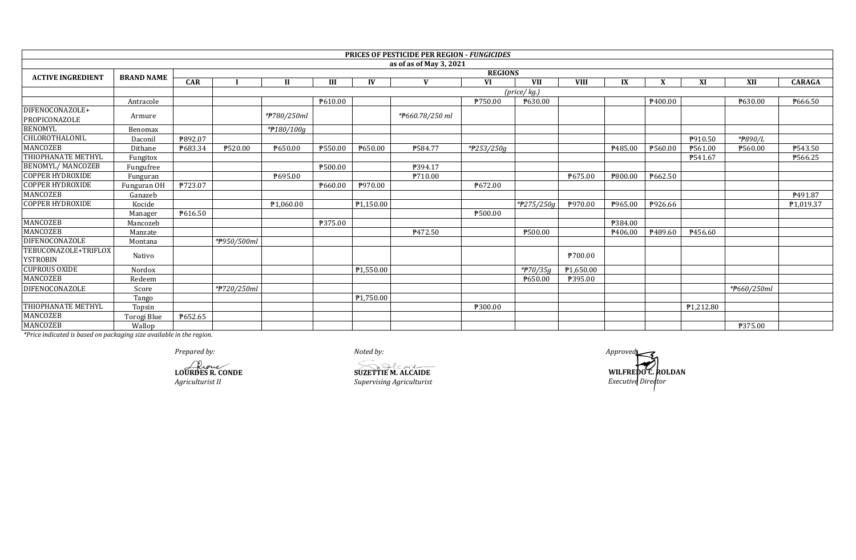|                                         |                   |         |             |             |         |           | <b>PRICES OF PESTICIDE PER REGION - FUNGICIDES</b> |                       |                         |             |         |         |           |             |               |
|-----------------------------------------|-------------------|---------|-------------|-------------|---------|-----------|----------------------------------------------------|-----------------------|-------------------------|-------------|---------|---------|-----------|-------------|---------------|
|                                         |                   |         |             |             |         |           | as of as of May 3, 2021                            |                       |                         |             |         |         |           |             |               |
| <b>ACTIVE INGREDIENT</b>                | <b>BRAND NAME</b> |         |             |             |         |           |                                                    | <b>REGIONS</b>        |                         |             |         |         |           |             |               |
|                                         |                   | CAR     |             | Н           | Ш       | IV        | $\mathbf{V}$                                       | VI                    | <b>VII</b>              | <b>VIII</b> | IX      |         | XI        | XII         | <b>CARAGA</b> |
|                                         |                   |         |             |             |         |           |                                                    |                       | (price/kg.)             |             |         |         |           |             |               |
|                                         | Antracole         |         |             |             | P610.00 |           |                                                    | ₱750.00               | ₱630.00                 |             |         | ₱400.00 |           | ₱630.00     | ₱666.50       |
| DIFENOCONAZOLE+<br>PROPICONAZOLE        | Armure            |         |             | *#780/250ml |         |           | *#660.78/250 ml                                    |                       |                         |             |         |         |           |             |               |
| <b>BENOMYL</b>                          | Benomax           |         |             | *#180/100g  |         |           |                                                    |                       |                         |             |         |         |           |             |               |
| CHLOROTHALONIL                          | Daconil           | ₱892.07 |             |             |         |           |                                                    |                       |                         |             |         |         | P910.50   | *#890/L     |               |
| <b>MANCOZEB</b>                         | Dithane           | ₱683.34 | ₱520.00     | P650.00     | ₱550.00 | P650.00   | ₱584.77                                            | $*$ <b>P</b> 253/250g |                         |             | P485.00 | ₱560.00 | ₱561.00   | ₱560.00     | P543.50       |
| THIOPHANATE METHYL                      | Fungitox          |         |             |             |         |           |                                                    |                       |                         |             |         |         | ₱541.67   |             | ₱566.25       |
| <b>BENOMYL/MANCOZEB</b>                 | Fungufree         |         |             |             | ₱500.00 |           | P394.17                                            |                       |                         |             |         |         |           |             |               |
| <b>COPPER HYDROXIDE</b>                 | Funguran          |         |             | ₱695.00     |         |           | ₱710.00                                            |                       |                         | P675.00     | ₱800.00 | ₱662.50 |           |             |               |
| <b>COPPER HYDROXIDE</b>                 | Funguran OF       | ₱723.07 |             |             | ₱660.00 | ₱970.00   |                                                    | ₱672.00               |                         |             |         |         |           |             |               |
| <b>MANCOZEB</b>                         | Ganazeb           |         |             |             |         |           |                                                    |                       |                         |             |         |         |           |             | P491.87       |
| <b>COPPER HYDROXIDE</b>                 | Kocide            |         |             | P1,060.00   |         | ₱1,150.00 |                                                    |                       | $*$ <b>P</b> 275/250g   | P970.00     | P965.00 | ₱926.66 |           |             | P1,019.37     |
|                                         | Manager           | P616.50 |             |             |         |           |                                                    | ₱500.00               |                         |             |         |         |           |             |               |
| <b>MANCOZEB</b>                         | Mancozeb          |         |             |             | ₱375.00 |           |                                                    |                       |                         |             | ₱384.00 |         |           |             |               |
| MANCOZEB                                | Manzate           |         |             |             |         |           | ₱472.50                                            |                       | ₱500.00                 |             | P406.00 | P489.60 | P456.60   |             |               |
| DIFENOCONAZOLE                          | Montana           |         | *P950/500ml |             |         |           |                                                    |                       |                         |             |         |         |           |             |               |
| TEBUCONAZOLE+TRIFLOX<br><b>YSTROBIN</b> | Nativo            |         |             |             |         |           |                                                    |                       |                         | ₱700.00     |         |         |           |             |               |
| <b>CUPROUS OXIDE</b>                    | Nordox            |         |             |             |         | ₱1,550.00 |                                                    |                       | $*$ <sup>270</sup> /35a | ₱1,650.00   |         |         |           |             |               |
| MANCOZEB                                | Redeem            |         |             |             |         |           |                                                    |                       | ₱650.00                 | ₱395.00     |         |         |           |             |               |
| DIFENOCONAZOLE                          | Score             |         | *#720/250ml |             |         |           |                                                    |                       |                         |             |         |         |           | *#660/250ml |               |
|                                         | Tango             |         |             |             |         | ₱1,750.00 |                                                    |                       |                         |             |         |         |           |             |               |
| THIOPHANATE METHYL                      | Topsin            |         |             |             |         |           |                                                    | ₱300.00               |                         |             |         |         | ₱1,212.80 |             |               |
| MANCOZEB                                | Torogi Blue       | ₱652.65 |             |             |         |           |                                                    |                       |                         |             |         |         |           |             |               |
| <b>MANCOZEB</b>                         | Wallop            |         |             |             |         |           |                                                    |                       |                         |             |         |         |           | ₱375.00     |               |

*Prepared by: Noted by: Approved:*

**LOURDES R. CONDE**<br> *LOURDES R. CONDE*<br> *Agriculturist II*<br> *Supervising Agriculturist* 

*Agriculturist II Supervising Agriculturist*

**WILFREDO C. ROLDAN** *Executive Director*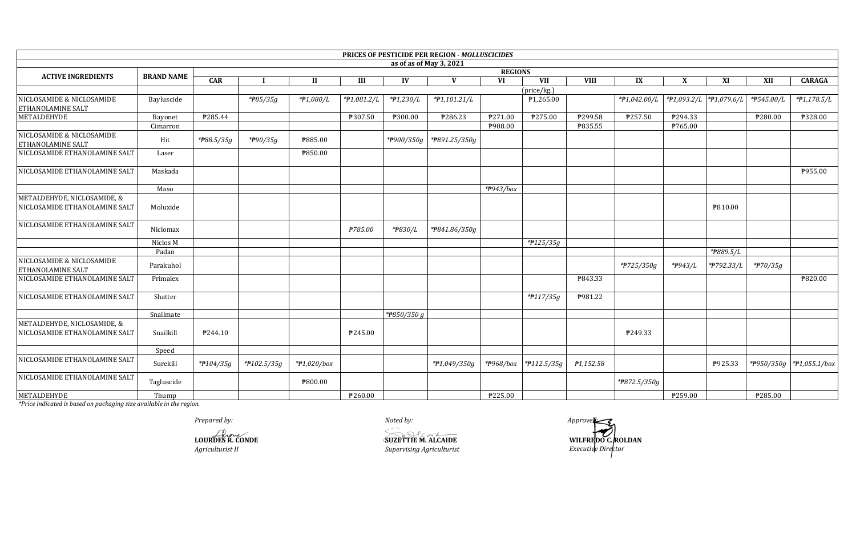|                                                              |                   |                |                |                |               |             | PRICES OF PESTICIDE PER REGION - MOLLUSCICIDES |           |                       |                |              |         |                          |                     |                          |
|--------------------------------------------------------------|-------------------|----------------|----------------|----------------|---------------|-------------|------------------------------------------------|-----------|-----------------------|----------------|--------------|---------|--------------------------|---------------------|--------------------------|
|                                                              |                   |                |                |                |               |             | as of as of May 3, 2021                        |           |                       |                |              |         |                          |                     |                          |
| <b>ACTIVE INGREDIENTS</b>                                    | <b>BRAND NAME</b> | <b>REGIONS</b> |                |                |               |             |                                                |           |                       |                |              |         |                          |                     |                          |
|                                                              |                   | CAR            |                | $\mathbf{I}$   | Ш             | IV          | V                                              | <b>VI</b> | VII                   | <b>VIII</b>    | IX           | X       | XI                       | XII                 | <b>CARAGA</b>            |
| NICLOSAMIDE & NICLOSAMIDE                                    |                   |                |                |                |               |             |                                                |           | (price/kg.)           |                |              |         |                          |                     |                          |
| <b>ETHANOLAMINE SALT</b>                                     | Bayluscide        |                | *#85/35g       | *#1,080/L      | $*P1,081.2/L$ | $*P1,230/L$ | *P1,101.21/L                                   |           | P1,265.00             |                | *#1,042.00/L |         | *P1,093.2/L  *P1,079.6/L | *#545.00/L          | $*P1,178.5/L$            |
| METALDEHYDE                                                  | Bayonet           | ₱285.44        |                |                | ₱307.50       | P300.00     | ₱286.23                                        | P271.00   | P275.00               | ₱299.58        | ₱257.50      | P294.33 |                          | P280.00             | ₱328.00                  |
|                                                              | Cimarron          |                |                |                |               |             |                                                | P908.00   |                       | <b>P835.55</b> |              | ₱765.00 |                          |                     |                          |
| NICLOSAMIDE & NICLOSAMIDE<br><b>ETHANOLAMINE SALT</b>        | Hit               | *#88.5/35g     | *#90/35g       | <b>P885.00</b> |               |             | *P900/350g   *P891.25/350g                     |           |                       |                |              |         |                          |                     |                          |
| NICLOSAMIDE ETHANOLAMINE SALT                                | Laser             |                |                | ₱850.00        |               |             |                                                |           |                       |                |              |         |                          |                     |                          |
| NICLOSAMIDE ETHANOLAMINE SALT                                | Maskada           |                |                |                |               |             |                                                |           |                       |                |              |         |                          |                     | P955.00                  |
|                                                              | Maso              |                |                |                |               |             |                                                | *#943/box |                       |                |              |         |                          |                     |                          |
| METALDEHYDE, NICLOSAMIDE, &<br>NICLOSAMIDE ETHANOLAMINE SALT | Moluxide          |                |                |                |               |             |                                                |           |                       |                |              |         | <b>\\$810.00</b>         |                     |                          |
| NICLOSAMIDE ETHANOLAMINE SALT                                | Niclomax          |                |                |                | ₱785.00       | *#830/L     | *#841.86/350g                                  |           |                       |                |              |         |                          |                     |                          |
|                                                              | Niclos M          |                |                |                |               |             |                                                |           | *#125/35g             |                |              |         |                          |                     |                          |
|                                                              | Padan             |                |                |                |               |             |                                                |           |                       |                |              |         | * <del>P</del> 889.5/L   |                     |                          |
| NICLOSAMIDE & NICLOSAMIDE<br><b>ETHANOLAMINE SALT</b>        | Parakuhol         |                |                |                |               |             |                                                |           |                       |                | *#725/350g   | *#943/L | *P792.33/L               | $*$ <b>P</b> 70/35g |                          |
| NICLOSAMIDE ETHANOLAMINE SALT                                | Primalex          |                |                |                |               |             |                                                |           |                       | P843.33        |              |         |                          |                     | ₱820.00                  |
| NICLOSAMIDE ETHANOLAMINE SALT                                | Shatter           |                |                |                |               |             |                                                |           | *#117/35g             | <b>P981.22</b> |              |         |                          |                     |                          |
|                                                              | Snailmate         |                |                |                |               | *P850/350 g |                                                |           |                       |                |              |         |                          |                     |                          |
| METALDEHYDE, NICLOSAMIDE, &<br>NICLOSAMIDE ETHANOLAMINE SALT | Snailkill         | P244.10        |                |                | P245.00       |             |                                                |           |                       |                | P249.33      |         |                          |                     |                          |
|                                                              | Speed             |                |                |                |               |             |                                                |           |                       |                |              |         |                          |                     |                          |
| NICLOSAMIDE ETHANOLAMINE SALT                                | Surekill          | *#104/35g      | * $f102.5/35g$ | $*P1,020/b$ ox |               |             | $*P1,049/350q$                                 |           | *P968/box *P112.5/35g | ₱1,152.58      |              |         | P925.33                  |                     | *P950/350g *P1,055.1/box |
| NICLOSAMIDE ETHANOLAMINE SALT                                | Tagluscide        |                |                | ₱800.00        |               |             |                                                |           |                       |                | *P872.5/350g |         |                          |                     |                          |
| METALDEHYDE                                                  | Thump             |                |                |                | ₱260.00       |             |                                                | ₱225.00   |                       |                |              | P259.00 |                          | P285.00             |                          |

Prepared by:

LOURDE'S R. CONDE  $\label{thm:4} A gridr {\it cuttrist II}$ 

Noted by: **SUZETTIE M. ALCAIDE** Supervising Agriculturist

 $Approve \& \f$ WILFREDO C.ROLDAN Executive Director